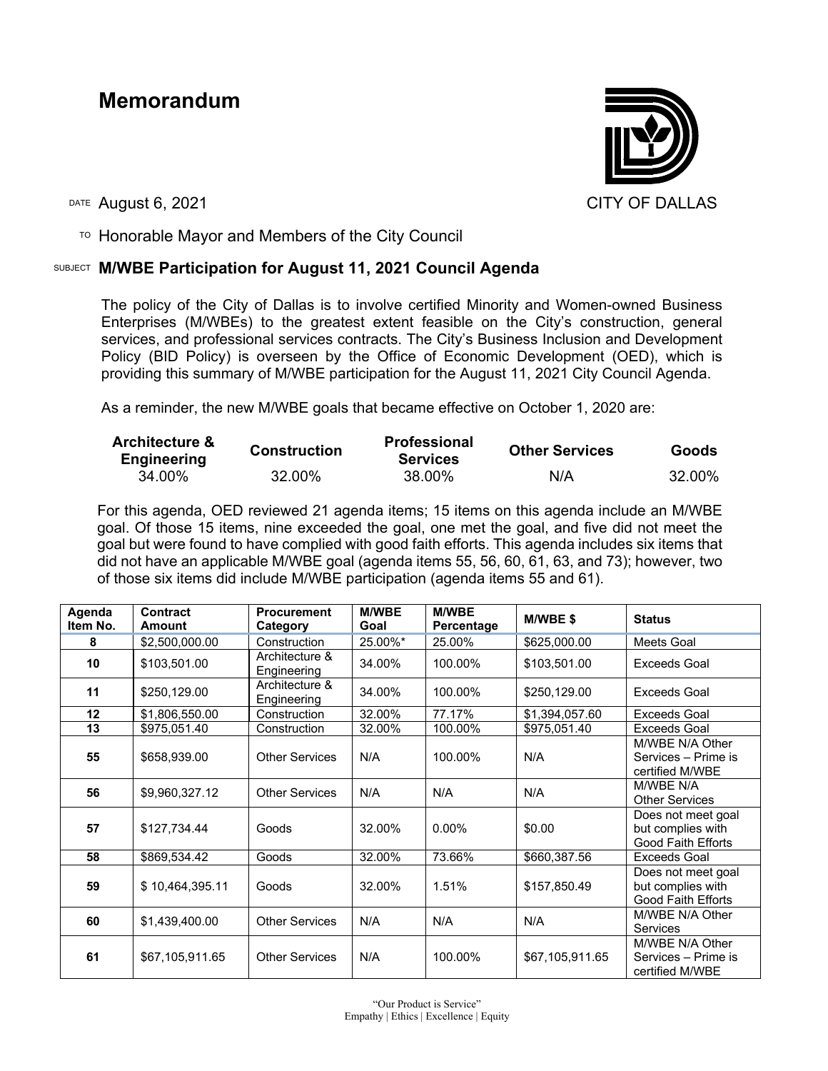## **Memorandum**



DATE August 6, 2021 CITY OF DALLAS

 $T$ <sup>O</sup> Honorable Mayor and Members of the City Council

## SUBJECT **M/WBE Participation for August 11, 2021 Council Agenda**

The policy of the City of Dallas is to involve certified Minority and Women-owned Business Enterprises (M/WBEs) to the greatest extent feasible on the City's construction, general services, and professional services contracts. The City's Business Inclusion and Development Policy (BID Policy) is overseen by the Office of Economic Development (OED), which is providing this summary of M/WBE participation for the August 11, 2021 City Council Agenda.

As a reminder, the new M/WBE goals that became effective on October 1, 2020 are:

| <b>Architecture &amp;</b><br><b>Engineering</b> | <b>Construction</b> | <b>Professional</b><br><b>Services</b> | <b>Other Services</b> | <b>Goods</b> |
|-------------------------------------------------|---------------------|----------------------------------------|-----------------------|--------------|
| 34.00%                                          | 32.00%              | 38.00%                                 | N/A                   | 32.00%       |

For this agenda, OED reviewed 21 agenda items; 15 items on this agenda include an M/WBE goal. Of those 15 items, nine exceeded the goal, one met the goal, and five did not meet the goal but were found to have complied with good faith efforts. This agenda includes six items that did not have an applicable M/WBE goal (agenda items 55, 56, 60, 61, 63, and 73); however, two of those six items did include M/WBE participation (agenda items 55 and 61).

| Agenda<br>Item No. | Contract<br>Amount | <b>Procurement</b><br>Category | <b>M/WBE</b><br>Goal | <b>M/WBE</b><br>Percentage | M/WBE\$         | <b>Status</b>                                                 |
|--------------------|--------------------|--------------------------------|----------------------|----------------------------|-----------------|---------------------------------------------------------------|
| 8                  | \$2,500,000.00     | Construction                   | 25.00%*              | 25.00%                     | \$625,000.00    | Meets Goal                                                    |
| 10                 | \$103,501.00       | Architecture &<br>Engineering  | 34.00%               | 100.00%                    | \$103,501.00    | <b>Exceeds Goal</b>                                           |
| 11                 | \$250,129.00       | Architecture &<br>Engineering  | 34.00%               | 100.00%                    | \$250,129.00    | <b>Exceeds Goal</b>                                           |
| 12                 | \$1,806,550.00     | Construction                   | 32.00%               | 77.17%                     | \$1,394,057.60  | <b>Exceeds Goal</b>                                           |
| 13                 | \$975,051.40       | Construction                   | 32.00%               | 100.00%                    | \$975,051.40    | <b>Exceeds Goal</b>                                           |
| 55                 | \$658,939.00       | <b>Other Services</b>          | N/A                  | 100.00%                    | N/A             | M/WBE N/A Other<br>Services – Prime is<br>certified M/WBE     |
| 56                 | \$9,960,327.12     | <b>Other Services</b>          | N/A                  | N/A                        | N/A             | M/WBE N/A<br><b>Other Services</b>                            |
| 57                 | \$127,734.44       | Goods                          | 32.00%               | $0.00\%$                   | \$0.00          | Does not meet goal<br>but complies with<br>Good Faith Efforts |
| 58                 | \$869,534.42       | Goods                          | 32.00%               | 73.66%                     | \$660,387.56    | Exceeds Goal                                                  |
| 59                 | \$10,464,395.11    | Goods                          | 32.00%               | 1.51%                      | \$157,850.49    | Does not meet goal<br>but complies with<br>Good Faith Efforts |
| 60                 | \$1,439,400.00     | <b>Other Services</b>          | N/A                  | N/A                        | N/A             | M/WBE N/A Other<br><b>Services</b>                            |
| 61                 | \$67,105,911.65    | <b>Other Services</b>          | N/A                  | 100.00%                    | \$67,105,911.65 | M/WBE N/A Other<br>Services – Prime is<br>certified M/WBE     |